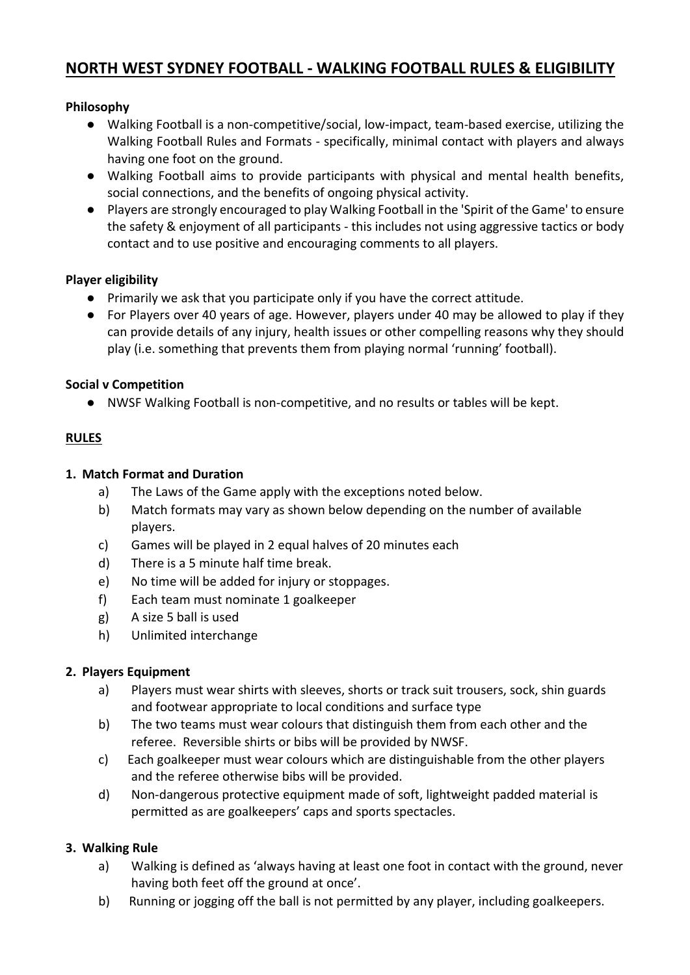# **NORTH WEST SYDNEY FOOTBALL - WALKING FOOTBALL RULES & ELIGIBILITY**

# **Philosophy**

- Walking Football is a non-competitive/social, low-impact, team-based exercise, utilizing the Walking Football Rules and Formats - specifically, minimal contact with players and always having one foot on the ground.
- Walking Football aims to provide participants with physical and mental health benefits, social connections, and the benefits of ongoing physical activity.
- Players are strongly encouraged to play Walking Football in the 'Spirit of the Game' to ensure the safety & enjoyment of all participants - this includes not using aggressive tactics or body contact and to use positive and encouraging comments to all players.

### **Player eligibility**

- Primarily we ask that you participate only if you have the correct attitude.
- For Players over 40 years of age. However, players under 40 may be allowed to play if they can provide details of any injury, health issues or other compelling reasons why they should play (i.e. something that prevents them from playing normal 'running' football).

### **Social v Competition**

● NWSF Walking Football is non-competitive, and no results or tables will be kept.

# **RULES**

### **1. Match Format and Duration**

- a) The Laws of the Game apply with the exceptions noted below.
- b) Match formats may vary as shown below depending on the number of available players.
- c) Games will be played in 2 equal halves of 20 minutes each
- d) There is a 5 minute half time break.
- e) No time will be added for injury or stoppages.
- f) Each team must nominate 1 goalkeeper
- g) A size 5 ball is used
- h) Unlimited interchange

#### **2. Players Equipment**

- a) Players must wear shirts with sleeves, shorts or track suit trousers, sock, shin guards and footwear appropriate to local conditions and surface type
- b) The two teams must wear colours that distinguish them from each other and the referee. Reversible shirts or bibs will be provided by NWSF.
- c) Each goalkeeper must wear colours which are distinguishable from the other players and the referee otherwise bibs will be provided.
- d) Non-dangerous protective equipment made of soft, lightweight padded material is permitted as are goalkeepers' caps and sports spectacles.

#### **3. Walking Rule**

- a) Walking is defined as 'always having at least one foot in contact with the ground, never having both feet off the ground at once'.
- b) Running or jogging off the ball is not permitted by any player, including goalkeepers.